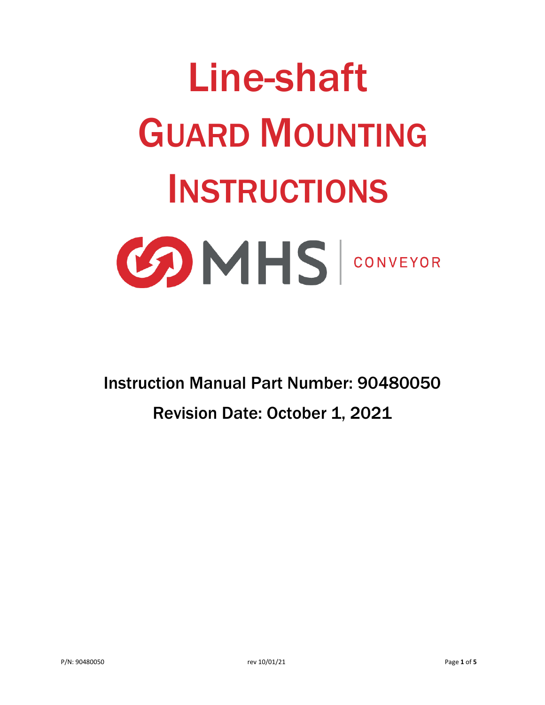# Line-shaft GUARD MOUNTING INSTRUCTIONS **BOMHS** CONVEYOR

Instruction Manual Part Number: 90480050 Revision Date: October 1, 2021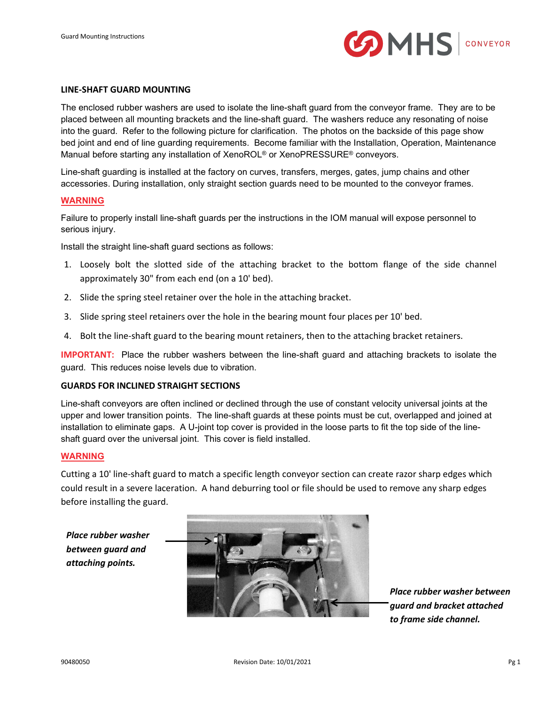

#### **LINE-SHAFT GUARD MOUNTING**

The enclosed rubber washers are used to isolate the line-shaft guard from the conveyor frame. They are to be placed between all mounting brackets and the line-shaft guard. The washers reduce any resonating of noise into the guard. Refer to the following picture for clarification. The photos on the backside of this page show bed joint and end of line guarding requirements. Become familiar with the Installation, Operation, Maintenance Manual before starting any installation of XenoROL® or XenoPRESSURE® conveyors.

Line-shaft guarding is installed at the factory on curves, transfers, merges, gates, jump chains and other accessories. During installation, only straight section guards need to be mounted to the conveyor frames.

#### **WARNING**

Failure to properly install line-shaft guards per the instructions in the IOM manual will expose personnel to serious injury.

Install the straight line-shaft guard sections as follows:

- 1. Loosely bolt the slotted side of the attaching bracket to the bottom flange of the side channel approximately 30" from each end (on a 10' bed).
- 2. Slide the spring steel retainer over the hole in the attaching bracket.
- 3. Slide spring steel retainers over the hole in the bearing mount four places per 10' bed.
- 4. Bolt the line-shaft guard to the bearing mount retainers, then to the attaching bracket retainers.

**IMPORTANT:** Place the rubber washers between the line-shaft guard and attaching brackets to isolate the guard. This reduces noise levels due to vibration.

#### **GUARDS FOR INCLINED STRAIGHT SECTIONS**

Line-shaft conveyors are often inclined or declined through the use of constant velocity universal joints at the upper and lower transition points. The line-shaft guards at these points must be cut, overlapped and joined at installation to eliminate gaps. A U-joint top cover is provided in the loose parts to fit the top side of the lineshaft guard over the universal joint. This cover is field installed.

#### **WARNING**

Cutting a 10' line-shaft guard to match a specific length conveyor section can create razor sharp edges which could result in a severe laceration. A hand deburring tool or file should be used to remove any sharp edges before installing the guard.

*Place rubber washer between guard and attaching points.*



*Place rubber washer between guard and bracket attached to frame side channel.*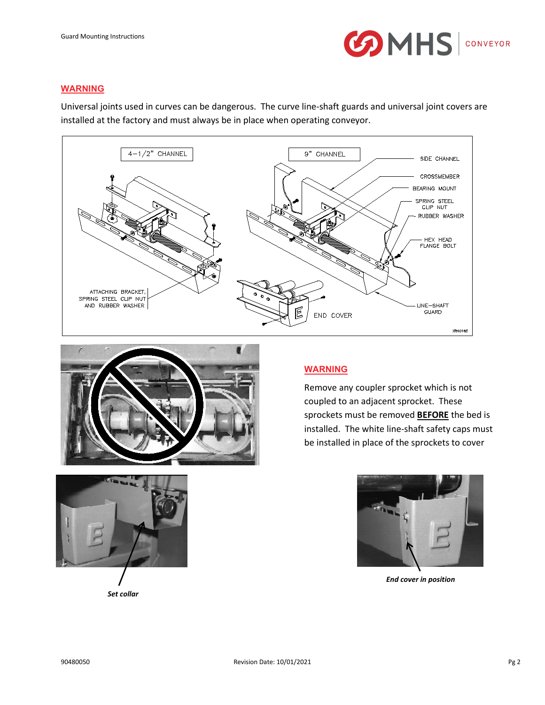

#### **WARNING**

Universal joints used in curves can be dangerous. The curve line-shaft guards and universal joint covers are installed at the factory and must always be in place when operating conveyor.





#### **WARNING**

Remove any coupler sprocket which is not coupled to an adjacent sprocket. These sprockets must be removed **BEFORE** the bed is installed. The white line-shaft safety caps must be installed in place of the sprockets to cover



*End cover in position*

*Set collar*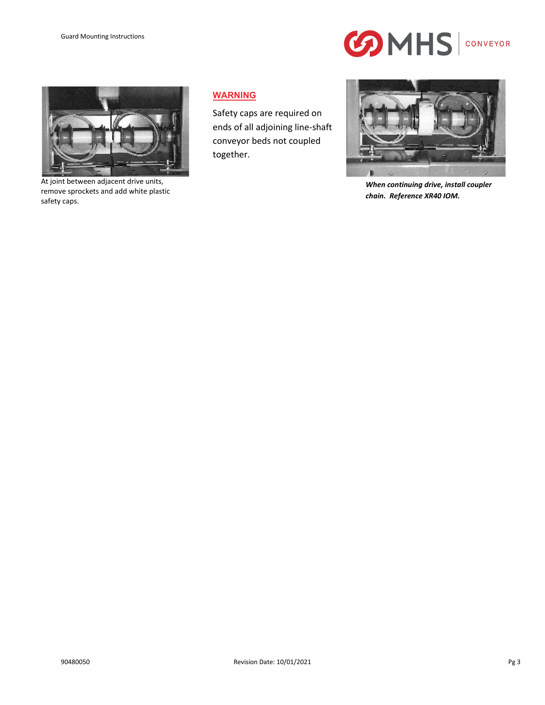



At joint between adjacent drive units, remove sprockets and add white plastic safety caps.

#### **WARNING**

Safety caps are required on ends of all adjoining line-shaft conveyor beds not coupled together.



*When continuing drive, install coupler chain. Reference XR40 IOM.*